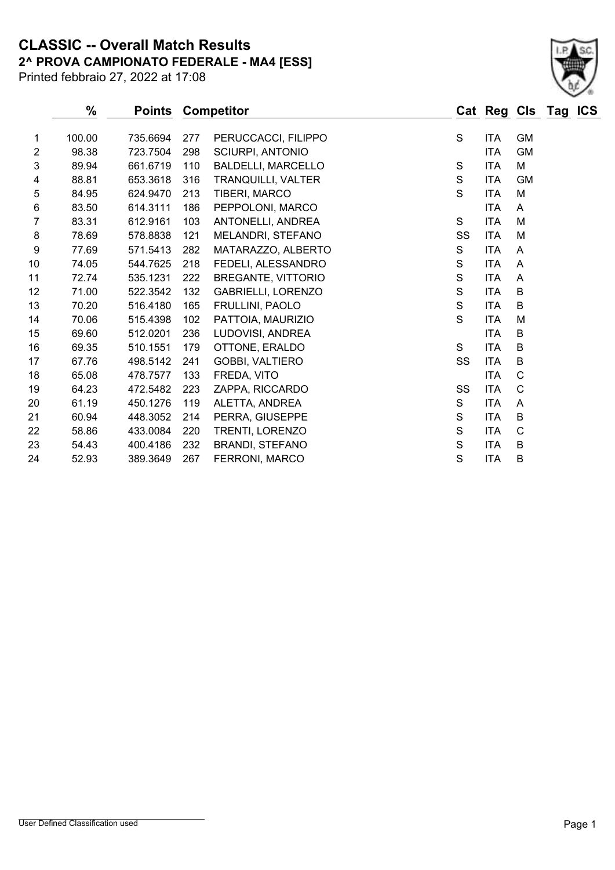**2^ PROVA CAMPIONATO FEDERALE - MA4 [ESS] CLASSIC -- Overall Match Results**

Printed febbraio 27, 2022 at 17:08

### **% Points Competitor Cat Reg Cls Tag ICS** 100.00 735.6694 277 PERUCCACCI, FILIPPO S ITA GM 2 98.38 723.7504 298 SCIURPI, ANTONIO 174 CM 89.94 661.6719 110 BALDELLI, MARCELLO S ITA M 4 88.81 653.3618 316 TRANQUILLI, VALTER S ITA GM 84.95 624.9470 213 TIBERI, MARCO S ITA M 6 83.50 614.3111 186 PEPPOLONI, MARCO ITA A 83.31 612.9161 103 ANTONELLI, ANDREA S ITA M 8 78.69 578.8838 121 MELANDRI, STEFANO SS ITA M 77.69 571.5413 282 MATARAZZO, ALBERTO S ITA A 74.05 544.7625 218 FEDELI, ALESSANDRO S ITA A 72.74 535.1231 222 BREGANTE, VITTORIO S ITA A 71.00 522.3542 132 GABRIELLI, LORENZO S ITA B 70.20 516.4180 165 FRULLINI, PAOLO S ITA B 70.06 515.4398 102 PATTOIA, MAURIZIO S ITA M 15 69.60 512.0201 236 LUDOVISI, ANDREA ITA B 69.35 510.1551 179 OTTONE, ERALDO S ITA B 67.76 498.5142 241 GOBBI, VALTIERO SS ITA B 65.08 478.7577 133 FREDA, VITO ITA C 64.23 472.5482 223 ZAPPA, RICCARDO SS ITA C 61.19 450.1276 119 ALETTA, ANDREA S ITA A 60.94 448.3052 214 PERRA, GIUSEPPE S ITA B 58.86 433.0084 220 TRENTI, LORENZO S ITA C 54.43 400.4186 232 BRANDI, STEFANO S ITA B 52.93 389.3649 267 FERRONI, MARCO S ITA B

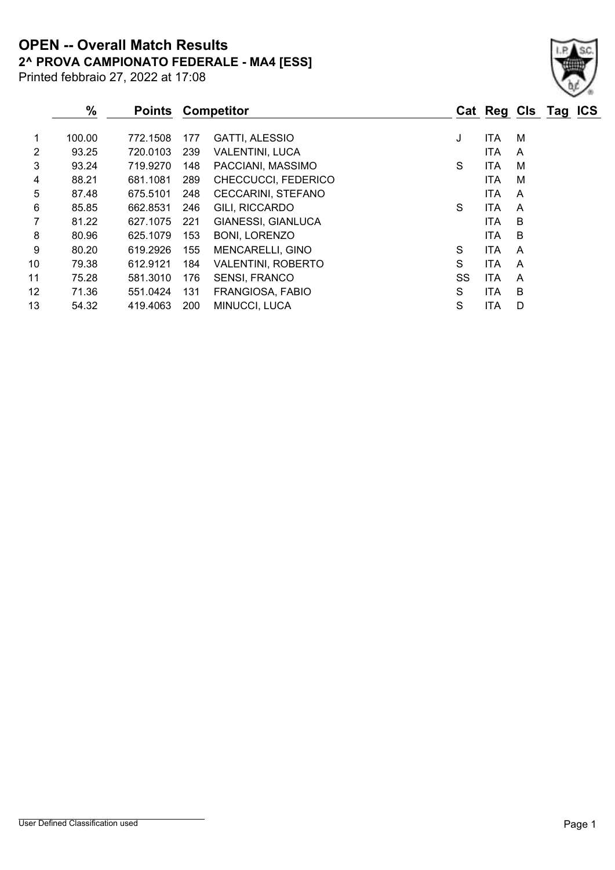Printed febbraio 27, 2022 at 17:08 **2^ PROVA CAMPIONATO FEDERALE - MA4 [ESS] OPEN -- Overall Match Results**

|                | $\%$   | <b>Points</b> |     | <b>Competitor</b>         |    | Cat Reg Cls Tag ICS |   |  |
|----------------|--------|---------------|-----|---------------------------|----|---------------------|---|--|
| 1              | 100.00 | 772.1508      | 177 | <b>GATTI, ALESSIO</b>     | J  | <b>ITA</b>          | м |  |
| $\overline{2}$ | 93.25  | 720.0103      | 239 | <b>VALENTINI, LUCA</b>    |    | <b>ITA</b>          | A |  |
| 3              | 93.24  | 719.9270      | 148 | PACCIANI, MASSIMO         | S  | <b>ITA</b>          | м |  |
| 4              | 88.21  | 681.1081      | 289 | CHECCUCCI, FEDERICO       |    | <b>ITA</b>          | м |  |
| 5              | 87.48  | 675.5101      | 248 | <b>CECCARINI, STEFANO</b> |    | <b>ITA</b>          | A |  |
| 6              | 85.85  | 662.8531      | 246 | GILI, RICCARDO            | S  | <b>ITA</b>          | A |  |
| 7              | 81.22  | 627.1075      | 221 | <b>GIANESSI, GIANLUCA</b> |    | <b>ITA</b>          | B |  |
| 8              | 80.96  | 625.1079      | 153 | <b>BONI, LORENZO</b>      |    | <b>ITA</b>          | B |  |
| 9              | 80.20  | 619.2926      | 155 | <b>MENCARELLI, GINO</b>   | S  | <b>ITA</b>          | A |  |
| 10             | 79.38  | 612.9121      | 184 | <b>VALENTINI, ROBERTO</b> | S  | <b>ITA</b>          | A |  |
| 11             | 75.28  | 581.3010      | 176 | <b>SENSI, FRANCO</b>      | SS | <b>ITA</b>          | A |  |
| 12             | 71.36  | 551.0424      | 131 | FRANGIOSA, FABIO          | S  | <b>ITA</b>          | B |  |
| 13             | 54.32  | 419.4063      | 200 | MINUCCI, LUCA             | S  | ITA                 | D |  |

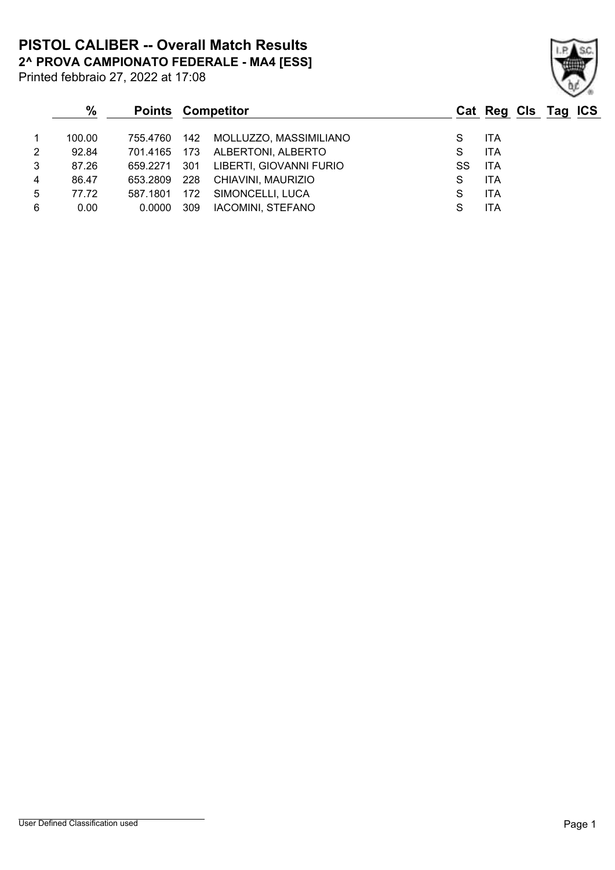**2^ PROVA CAMPIONATO FEDERALE - MA4 [ESS] PISTOL CALIBER -- Overall Match Results**

Printed febbraio 27, 2022 at 17:08

## **% Points Competitor Cat Reg Cls Tag ICS** 1 100.00 755.4760 142 MOLLUZZO, MASSIMILIANO S ITA 2 92.84 701.4165 173 ALBERTONI, ALBERTO S ITA 3 87.26 659.2271 301 LIBERTI, GIOVANNI FURIO SS ITA 4 86.47 653.2809 228 CHIAVINI, MAURIZIO S ITA 5 77.72 587.1801 172 SIMONCELLI, LUCA S ITA 6 0.00 0.0000 309 IACOMINI, STEFANO S ITA

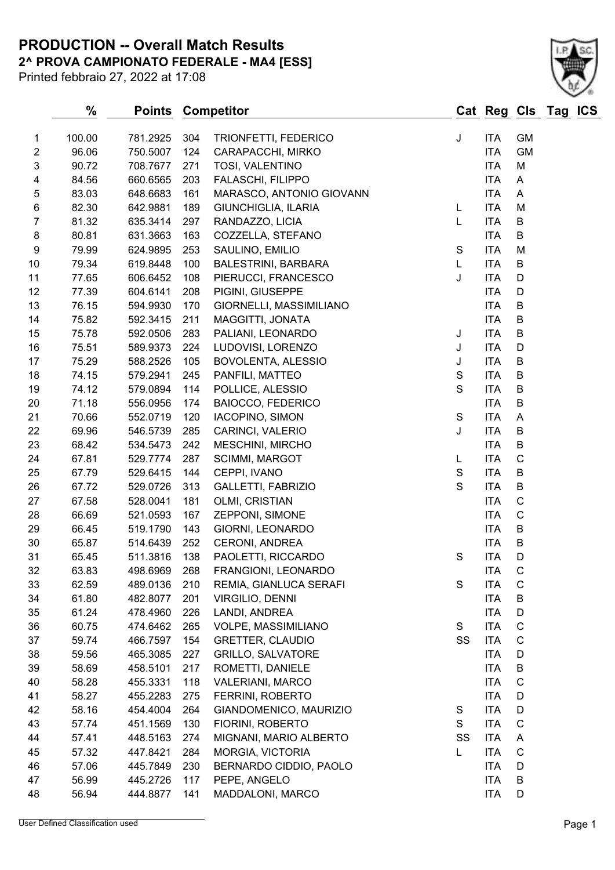**2^ PROVA CAMPIONATO FEDERALE - MA4 [ESS] PRODUCTION -- Overall Match Results**

Printed febbraio 27, 2022 at 17:08

|                  | $\%$   | <b>Points</b> |     | <b>Competitor</b>        |    | Cat Reg Cls Tag ICS |             |  |
|------------------|--------|---------------|-----|--------------------------|----|---------------------|-------------|--|
| 1                | 100.00 | 781.2925      | 304 | TRIONFETTI, FEDERICO     | J  | ITA                 | <b>GM</b>   |  |
| $\overline{c}$   | 96.06  | 750.5007      | 124 | CARAPACCHI, MIRKO        |    | <b>ITA</b>          | <b>GM</b>   |  |
| 3                | 90.72  | 708.7677      | 271 | TOSI, VALENTINO          |    | <b>ITA</b>          | M           |  |
| 4                | 84.56  | 660.6565      | 203 | FALASCHI, FILIPPO        |    | <b>ITA</b>          | A           |  |
| 5                | 83.03  | 648.6683      | 161 | MARASCO, ANTONIO GIOVANN |    | <b>ITA</b>          | A           |  |
| 6                | 82.30  | 642.9881      | 189 | GIUNCHIGLIA, ILARIA      | L  | <b>ITA</b>          | M           |  |
| $\overline{7}$   | 81.32  | 635.3414      | 297 | RANDAZZO, LICIA          | L  | <b>ITA</b>          | B           |  |
| $\,8\,$          | 80.81  | 631.3663      | 163 | COZZELLA, STEFANO        |    | <b>ITA</b>          | B           |  |
| $\boldsymbol{9}$ | 79.99  | 624.9895      | 253 | SAULINO, EMILIO          | S  | <b>ITA</b>          | M           |  |
| 10               | 79.34  | 619.8448      | 100 | BALESTRINI, BARBARA      | L  | <b>ITA</b>          | B           |  |
| 11               | 77.65  | 606.6452      | 108 | PIERUCCI, FRANCESCO      | J  | <b>ITA</b>          | D           |  |
| 12               | 77.39  | 604.6141      | 208 | PIGINI, GIUSEPPE         |    | <b>ITA</b>          | D           |  |
| 13               | 76.15  | 594.9930      | 170 | GIORNELLI, MASSIMILIANO  |    | <b>ITA</b>          | B           |  |
| 14               | 75.82  | 592.3415      | 211 | MAGGITTI, JONATA         |    | <b>ITA</b>          | $\sf B$     |  |
| 15               | 75.78  | 592.0506      | 283 | PALIANI, LEONARDO        | J  | <b>ITA</b>          | $\sf B$     |  |
| 16               | 75.51  | 589.9373      | 224 | LUDOVISI, LORENZO        | J  | <b>ITA</b>          | D           |  |
| 17               | 75.29  | 588.2526      | 105 | BOVOLENTA, ALESSIO       | J  | ITA                 | B           |  |
| 18               | 74.15  | 579.2941      | 245 | PANFILI, MATTEO          | S  | <b>ITA</b>          | $\sf B$     |  |
| 19               | 74.12  | 579.0894      | 114 | POLLICE, ALESSIO         | S  | <b>ITA</b>          | $\sf B$     |  |
| 20               | 71.18  | 556.0956      | 174 | <b>BAIOCCO, FEDERICO</b> |    | <b>ITA</b>          | B           |  |
| 21               | 70.66  | 552.0719      | 120 | IACOPINO, SIMON          | S  | <b>ITA</b>          | A           |  |
| 22               | 69.96  | 546.5739      | 285 | CARINCI, VALERIO         | J  | <b>ITA</b>          | $\sf B$     |  |
| 23               | 68.42  | 534.5473      | 242 | MESCHINI, MIRCHO         |    | <b>ITA</b>          | B           |  |
| 24               | 67.81  | 529.7774      | 287 | <b>SCIMMI, MARGOT</b>    | L  | <b>ITA</b>          | $\mathsf C$ |  |
| 25               | 67.79  | 529.6415      | 144 | CEPPI, IVANO             | S  | <b>ITA</b>          | $\sf B$     |  |
| 26               | 67.72  | 529.0726      | 313 | GALLETTI, FABRIZIO       | S  | <b>ITA</b>          | $\sf B$     |  |
| 27               | 67.58  | 528.0041      | 181 | OLMI, CRISTIAN           |    | <b>ITA</b>          | $\mathsf C$ |  |
| 28               | 66.69  | 521.0593      | 167 | ZEPPONI, SIMONE          |    | <b>ITA</b>          | $\mathsf C$ |  |
| 29               | 66.45  | 519.1790      | 143 | GIORNI, LEONARDO         |    | <b>ITA</b>          | B           |  |
| 30               | 65.87  | 514.6439      | 252 | <b>CERONI, ANDREA</b>    |    | <b>ITA</b>          | B           |  |
| 31               | 65.45  | 511.3816      | 138 | PAOLETTI, RICCARDO       | S  | <b>ITA</b>          | D           |  |
| 32               | 63.83  | 498.6969      | 268 | FRANGIONI, LEONARDO      |    | <b>ITA</b>          | C           |  |
| 33               | 62.59  | 489.0136      | 210 | REMIA, GIANLUCA SERAFI   | S  | <b>ITA</b>          | $\mathsf C$ |  |
| 34               | 61.80  | 482.8077      | 201 | VIRGILIO, DENNI          |    | <b>ITA</b>          | B           |  |
| 35               | 61.24  | 478.4960      | 226 | LANDI, ANDREA            |    | ITA                 | $\mathsf D$ |  |
| 36               | 60.75  | 474.6462      | 265 | VOLPE, MASSIMILIANO      | S  | <b>ITA</b>          | $\mathsf C$ |  |
| 37               | 59.74  | 466.7597      | 154 | <b>GRETTER, CLAUDIO</b>  | SS | <b>ITA</b>          | C           |  |
| 38               | 59.56  | 465.3085      | 227 | <b>GRILLO, SALVATORE</b> |    | <b>ITA</b>          | D           |  |
| 39               | 58.69  | 458.5101      | 217 | ROMETTI, DANIELE         |    | ITA                 | B           |  |
| 40               | 58.28  | 455.3331      | 118 | <b>VALERIANI, MARCO</b>  |    | <b>ITA</b>          | $\mathsf C$ |  |
| 41               | 58.27  | 455.2283      | 275 | FERRINI, ROBERTO         |    | <b>ITA</b>          | D           |  |
| 42               | 58.16  | 454.4004      | 264 | GIANDOMENICO, MAURIZIO   | S  | ITA                 | D           |  |
| 43               | 57.74  | 451.1569      | 130 | FIORINI, ROBERTO         | S  | ITA                 | $\mathsf C$ |  |
| 44               | 57.41  | 448.5163      | 274 | MIGNANI, MARIO ALBERTO   | SS | <b>ITA</b>          | A           |  |
| 45               | 57.32  | 447.8421      | 284 | MORGIA, VICTORIA         | L  | <b>ITA</b>          | C           |  |
| 46               | 57.06  | 445.7849      | 230 | BERNARDO CIDDIO, PAOLO   |    | <b>ITA</b>          | D           |  |
| 47               | 56.99  | 445.2726      | 117 | PEPE, ANGELO             |    | ITA                 | B           |  |
| 48               | 56.94  | 444.8877      | 141 | MADDALONI, MARCO         |    | ITA                 | D           |  |
|                  |        |               |     |                          |    |                     |             |  |

User Defined Classification used **Page 1** 



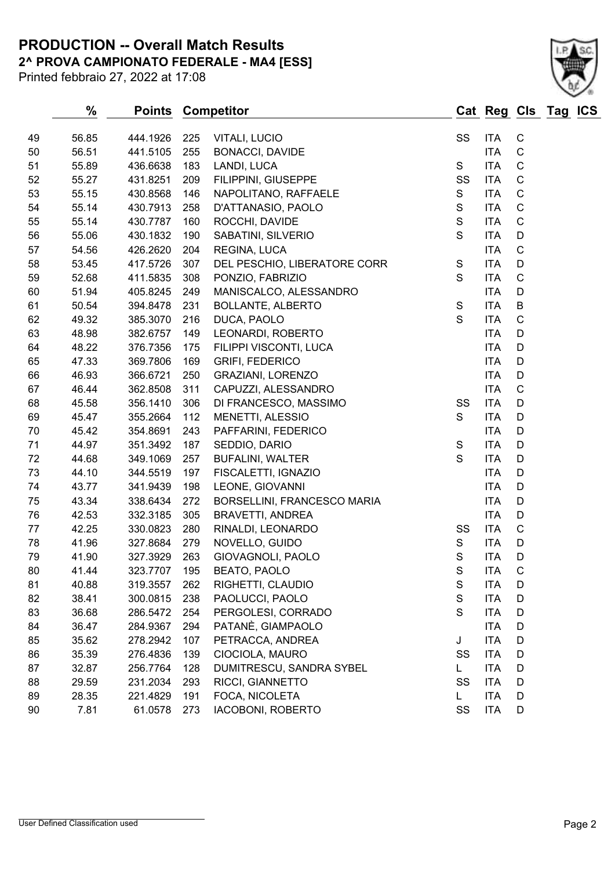**2^ PROVA CAMPIONATO FEDERALE - MA4 [ESS] PRODUCTION -- Overall Match Results**

Printed febbraio 27, 2022 at 17:08

|    | %     |          |     | <b>Points Competitor</b>     |             | Cat Reg Cls Tag ICS |             |  |
|----|-------|----------|-----|------------------------------|-------------|---------------------|-------------|--|
| 49 | 56.85 | 444.1926 | 225 | VITALI, LUCIO                | SS          | <b>ITA</b>          | $\mathsf C$ |  |
| 50 | 56.51 | 441.5105 | 255 | <b>BONACCI, DAVIDE</b>       |             | <b>ITA</b>          | $\mathsf C$ |  |
| 51 | 55.89 | 436.6638 | 183 | LANDI, LUCA                  | S           | <b>ITA</b>          | $\mathsf C$ |  |
| 52 | 55.27 | 431.8251 | 209 | FILIPPINI, GIUSEPPE          | SS          | <b>ITA</b>          | $\mathbf C$ |  |
| 53 | 55.15 | 430.8568 | 146 | NAPOLITANO, RAFFAELE         | S           | <b>ITA</b>          | $\mathbf C$ |  |
| 54 | 55.14 | 430.7913 | 258 | D'ATTANASIO, PAOLO           | S           | <b>ITA</b>          | $\mathsf C$ |  |
| 55 | 55.14 | 430.7787 | 160 | ROCCHI, DAVIDE               | $\mathbb S$ | <b>ITA</b>          | $\mathbf C$ |  |
| 56 | 55.06 | 430.1832 | 190 | SABATINI, SILVERIO           | S           | <b>ITA</b>          | D           |  |
| 57 | 54.56 | 426.2620 | 204 | REGINA, LUCA                 |             | <b>ITA</b>          | $\mathbf C$ |  |
| 58 | 53.45 | 417.5726 | 307 | DEL PESCHIO, LIBERATORE CORR | S           | <b>ITA</b>          | D           |  |
| 59 | 52.68 | 411.5835 | 308 | PONZIO, FABRIZIO             | S           | <b>ITA</b>          | $\mathsf C$ |  |
| 60 | 51.94 | 405.8245 | 249 | MANISCALCO, ALESSANDRO       |             | <b>ITA</b>          | D           |  |
| 61 | 50.54 | 394.8478 | 231 | <b>BOLLANTE, ALBERTO</b>     | $\mathbf S$ | <b>ITA</b>          | $\sf B$     |  |
| 62 | 49.32 | 385.3070 | 216 | DUCA, PAOLO                  | S           | <b>ITA</b>          | $\mathbf C$ |  |
| 63 | 48.98 | 382.6757 | 149 | LEONARDI, ROBERTO            |             | <b>ITA</b>          | D           |  |
| 64 | 48.22 | 376.7356 | 175 | FILIPPI VISCONTI, LUCA       |             | <b>ITA</b>          | D           |  |
| 65 | 47.33 | 369.7806 | 169 | <b>GRIFI, FEDERICO</b>       |             | <b>ITA</b>          | D           |  |
| 66 | 46.93 | 366.6721 | 250 | GRAZIANI, LORENZO            |             | <b>ITA</b>          | D           |  |
| 67 | 46.44 | 362.8508 | 311 | CAPUZZI, ALESSANDRO          |             | <b>ITA</b>          | $\mathbf C$ |  |
| 68 | 45.58 | 356.1410 | 306 | DI FRANCESCO, MASSIMO        | SS          | <b>ITA</b>          | D           |  |
| 69 | 45.47 | 355.2664 | 112 | MENETTI, ALESSIO             | S           | <b>ITA</b>          | D           |  |
| 70 | 45.42 | 354.8691 | 243 | PAFFARINI, FEDERICO          |             | <b>ITA</b>          | D           |  |
| 71 | 44.97 | 351.3492 | 187 | SEDDIO, DARIO                | S           | <b>ITA</b>          | D           |  |
| 72 | 44.68 | 349.1069 | 257 | <b>BUFALINI, WALTER</b>      | S           | <b>ITA</b>          | D           |  |
| 73 | 44.10 | 344.5519 | 197 | FISCALETTI, IGNAZIO          |             | <b>ITA</b>          | D           |  |
| 74 | 43.77 | 341.9439 | 198 | LEONE, GIOVANNI              |             | <b>ITA</b>          | D           |  |
| 75 | 43.34 | 338.6434 | 272 | BORSELLINI, FRANCESCO MARIA  |             | <b>ITA</b>          | D           |  |
| 76 | 42.53 | 332.3185 | 305 | <b>BRAVETTI, ANDREA</b>      |             | <b>ITA</b>          | D           |  |
| 77 | 42.25 | 330.0823 | 280 | RINALDI, LEONARDO            | SS          | <b>ITA</b>          | $\mathsf C$ |  |
| 78 | 41.96 | 327.8684 | 279 | NOVELLO, GUIDO               | S           | <b>ITA</b>          | D           |  |
| 79 | 41.90 | 327.3929 | 263 | GIOVAGNOLI, PAOLO            | S           | <b>ITA</b>          | D           |  |
| 80 | 41.44 | 323.7707 | 195 | <b>BEATO, PAOLO</b>          | S           | <b>ITA</b>          | C           |  |
| 81 | 40.88 | 319.3557 | 262 | RIGHETTI, CLAUDIO            | $\mathbb S$ | <b>ITA</b>          | D           |  |
| 82 | 38.41 | 300.0815 | 238 | PAOLUCCI, PAOLO              | S           | <b>ITA</b>          | D           |  |
| 83 | 36.68 | 286.5472 | 254 | PERGOLESI, CORRADO           | S           | <b>ITA</b>          | D           |  |
| 84 | 36.47 | 284.9367 | 294 | PATANÈ, GIAMPAOLO            |             | <b>ITA</b>          | D           |  |
| 85 | 35.62 | 278.2942 | 107 | PETRACCA, ANDREA             | J           | <b>ITA</b>          | D           |  |
| 86 | 35.39 | 276.4836 | 139 | CIOCIOLA, MAURO              | SS          | <b>ITA</b>          | D           |  |
| 87 | 32.87 | 256.7764 | 128 | DUMITRESCU, SANDRA SYBEL     | L.          | <b>ITA</b>          | D           |  |
| 88 | 29.59 | 231.2034 | 293 | RICCI, GIANNETTO             | SS          | <b>ITA</b>          | D           |  |
| 89 | 28.35 | 221.4829 | 191 | FOCA, NICOLETA               | L.          | ITA                 | D           |  |
| 90 | 7.81  | 61.0578  | 273 | IACOBONI, ROBERTO            | SS          | ITA                 | D           |  |
|    |       |          |     |                              |             |                     |             |  |

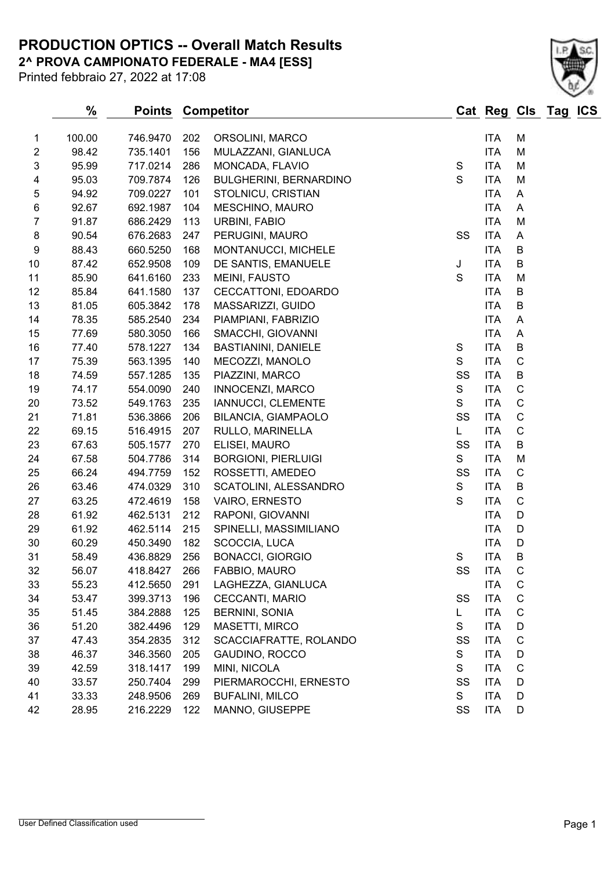**2^ PROVA CAMPIONATO FEDERALE - MA4 [ESS] PRODUCTION OPTICS -- Overall Match Results**



## **% Points Competitor Cat Reg Cls Tag ICS** 1 100.00 746.9470 202 ORSOLINI, MARCO 1 11 114 M 2 98.42 735.1401 156 MULAZZANI, GIANLUCA ITA M

| $\ensuremath{\mathsf{3}}$ | 95.99 | 717.0214 | 286 | MONCADA, FLAVIO            | $\mathbf S$  | <b>ITA</b> | M            |
|---------------------------|-------|----------|-----|----------------------------|--------------|------------|--------------|
| 4                         | 95.03 | 709.7874 | 126 | BULGHERINI, BERNARDINO     | S            | <b>ITA</b> | M            |
| 5                         | 94.92 | 709.0227 | 101 | STOLNICU, CRISTIAN         |              | <b>ITA</b> | Α            |
| 6                         | 92.67 | 692.1987 | 104 | MESCHINO, MAURO            |              | <b>ITA</b> | A            |
| $\overline{7}$            | 91.87 | 686.2429 | 113 | URBINI, FABIO              |              | <b>ITA</b> | M            |
| $\bf 8$                   | 90.54 | 676.2683 | 247 | PERUGINI, MAURO            | SS           | <b>ITA</b> | Α            |
| 9                         | 88.43 | 660.5250 | 168 | MONTANUCCI, MICHELE        |              | <b>ITA</b> | B            |
| 10                        | 87.42 | 652.9508 | 109 | DE SANTIS, EMANUELE        | J            | <b>ITA</b> | B            |
| 11                        | 85.90 | 641.6160 | 233 | MEINI, FAUSTO              | $\mathbf S$  | <b>ITA</b> | M            |
| 12                        | 85.84 | 641.1580 | 137 | CECCATTONI, EDOARDO        |              | <b>ITA</b> | B            |
| 13                        | 81.05 | 605.3842 | 178 | MASSARIZZI, GUIDO          |              | <b>ITA</b> | B            |
| 14                        | 78.35 | 585.2540 | 234 | PIAMPIANI, FABRIZIO        |              | <b>ITA</b> | A            |
| 15                        | 77.69 | 580.3050 | 166 | SMACCHI, GIOVANNI          |              | <b>ITA</b> | Α            |
| 16                        | 77.40 | 578.1227 | 134 | <b>BASTIANINI, DANIELE</b> | $\mathbf S$  | <b>ITA</b> | B            |
| 17                        | 75.39 | 563.1395 | 140 | MECOZZI, MANOLO            | S            | <b>ITA</b> | $\mathsf C$  |
| 18                        | 74.59 | 557.1285 | 135 | PIAZZINI, MARCO            | SS           | <b>ITA</b> | B            |
| 19                        | 74.17 | 554.0090 | 240 | INNOCENZI, MARCO           | $\mathbf S$  | <b>ITA</b> | $\mathsf C$  |
| 20                        | 73.52 | 549.1763 | 235 | IANNUCCI, CLEMENTE         | $\mathsf{s}$ | <b>ITA</b> | $\mathsf C$  |
| 21                        | 71.81 | 536.3866 | 206 | <b>BILANCIA, GIAMPAOLO</b> | SS           | <b>ITA</b> | $\mathsf C$  |
| 22                        | 69.15 | 516.4915 | 207 | RULLO, MARINELLA           | L.           | <b>ITA</b> | $\mathsf C$  |
| 23                        | 67.63 | 505.1577 | 270 | ELISEI, MAURO              | SS           | <b>ITA</b> | B            |
| 24                        | 67.58 | 504.7786 | 314 | <b>BORGIONI, PIERLUIGI</b> | S            | <b>ITA</b> | M            |
| 25                        | 66.24 | 494.7759 | 152 | ROSSETTI, AMEDEO           | SS           | <b>ITA</b> | $\mathsf C$  |
| 26                        | 63.46 | 474.0329 | 310 | SCATOLINI, ALESSANDRO      | $\mathbf S$  | <b>ITA</b> | B            |
| 27                        | 63.25 | 472.4619 | 158 | VAIRO, ERNESTO             | $\mathbf S$  | <b>ITA</b> | $\mathsf C$  |
| 28                        | 61.92 | 462.5131 | 212 | RAPONI, GIOVANNI           |              | <b>ITA</b> | D            |
| 29                        | 61.92 | 462.5114 | 215 | SPINELLI, MASSIMILIANO     |              | <b>ITA</b> | D            |
| 30                        | 60.29 | 450.3490 | 182 | SCOCCIA, LUCA              |              | <b>ITA</b> | D            |
| 31                        | 58.49 | 436.8829 | 256 | <b>BONACCI, GIORGIO</b>    | S            | <b>ITA</b> | B            |
| 32                        | 56.07 | 418.8427 | 266 | FABBIO, MAURO              | SS           | <b>ITA</b> | C            |
| 33                        | 55.23 | 412.5650 | 291 | LAGHEZZA, GIANLUCA         |              | <b>ITA</b> | C            |
| 34                        | 53.47 | 399.3713 | 196 | CECCANTI, MARIO            | SS           | <b>ITA</b> | $\mathsf C$  |
| 35                        | 51.45 | 384.2888 | 125 | <b>BERNINI, SONIA</b>      | Г            | <b>ITA</b> | $\mathsf C$  |
| 36                        | 51.20 | 382.4496 | 129 | MASETTI, MIRCO             | $\mathbf S$  | <b>ITA</b> | D            |
| 37                        | 47.43 | 354.2835 | 312 | SCACCIAFRATTE, ROLANDO     | SS           | <b>ITA</b> | C            |
| 38                        | 46.37 | 346.3560 | 205 | GAUDINO, ROCCO             | S            | <b>ITA</b> | D            |
| 39                        | 42.59 | 318.1417 | 199 | MINI, NICOLA               | S            | <b>ITA</b> | $\mathsf{C}$ |
| 40                        | 33.57 | 250.7404 | 299 | PIERMAROCCHI, ERNESTO      | SS           | <b>ITA</b> | D            |
| 41                        | 33.33 | 248.9506 | 269 | <b>BUFALINI, MILCO</b>     | S            | <b>ITA</b> | D            |
| 42                        | 28.95 | 216.2229 | 122 | MANNO, GIUSEPPE            | SS           | <b>ITA</b> | D            |

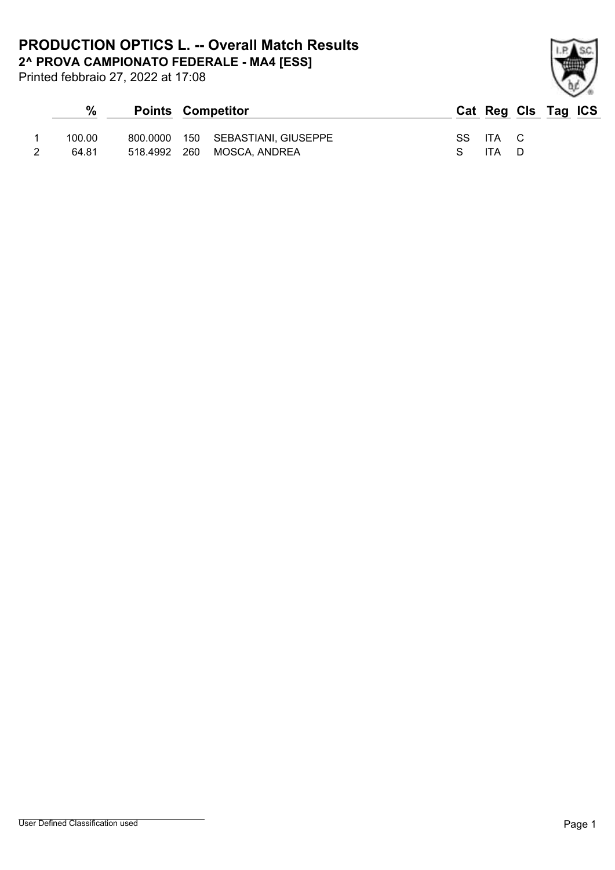Printed febbraio 27, 2022 at 17:08

| $\frac{0}{0}$ | <b>Points Competitor</b> |                                   |  |          | Cat Reg Cls Tag ICS |  |
|---------------|--------------------------|-----------------------------------|--|----------|---------------------|--|
| 100.00        |                          | 800.0000 150 SEBASTIANI, GIUSEPPE |  | SS ITA C |                     |  |
| 64.81         | 518.4992 260             | MOSCA, ANDREA                     |  | ITA D    |                     |  |

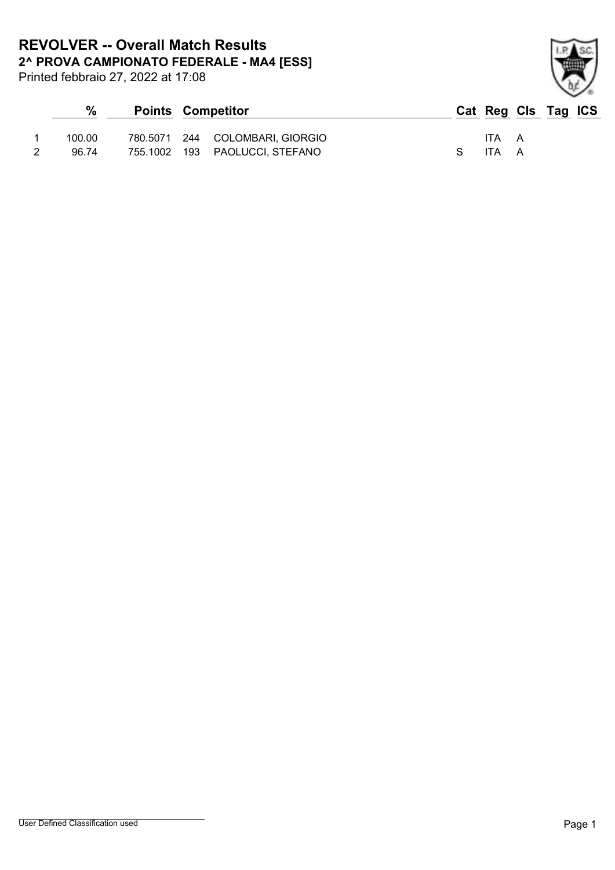**2^ PROVA CAMPIONATO FEDERALE - MA4 [ESS] REVOLVER -- Overall Match Results**

Printed febbraio 27, 2022 at 17:08

| %      | <b>Points Competitor</b> |                                 |    |       | Cat Reg Cls Tag ICS |  |
|--------|--------------------------|---------------------------------|----|-------|---------------------|--|
| 100.00 |                          | 780.5071 244 COLOMBARI, GIORGIO |    | ITA A |                     |  |
| 96.74  |                          | 755.1002 193 PAOLUCCI, STEFANO  | S. | ITA A |                     |  |

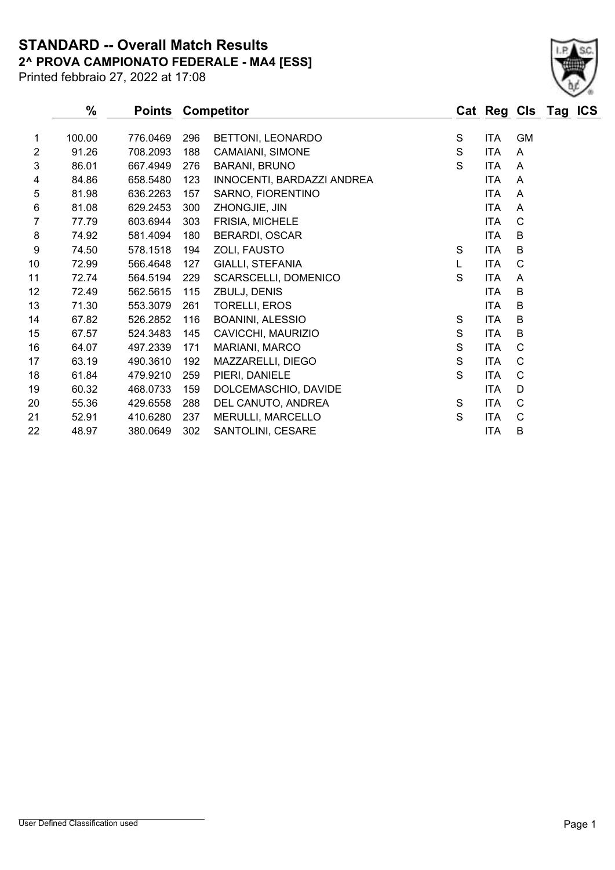**STANDARD -- Overall Match Results**

Printed febbraio 27, 2022 at 17:08

# **2^ PROVA CAMPIONATO FEDERALE - MA4 [ESS]**

|                | %      | <b>Points</b> |     | <b>Competitor</b>          |               | Cat Reg Cls Tag ICS |              |  |
|----------------|--------|---------------|-----|----------------------------|---------------|---------------------|--------------|--|
| 1.             | 100.00 | 776.0469      | 296 | BETTONI, LEONARDO          | S             | <b>ITA</b>          | <b>GM</b>    |  |
| $\overline{2}$ | 91.26  | 708.2093      | 188 | CAMAIANI, SIMONE           | ${\mathsf S}$ | <b>ITA</b>          | A            |  |
| 3              | 86.01  | 667.4949      | 276 | <b>BARANI, BRUNO</b>       | S             | <b>ITA</b>          | A            |  |
| 4              | 84.86  | 658.5480      | 123 | INNOCENTI, BARDAZZI ANDREA |               | <b>ITA</b>          | A            |  |
| 5              | 81.98  | 636.2263      | 157 | SARNO, FIORENTINO          |               | <b>ITA</b>          | A            |  |
| 6              | 81.08  | 629.2453      | 300 | ZHONGJIE, JIN              |               | <b>ITA</b>          | A            |  |
| 7              | 77.79  | 603.6944      | 303 | FRISIA, MICHELE            |               | <b>ITA</b>          | C            |  |
| 8              | 74.92  | 581.4094      | 180 | <b>BERARDI, OSCAR</b>      |               | <b>ITA</b>          | B            |  |
| 9              | 74.50  | 578.1518      | 194 | ZOLI, FAUSTO               | S             | <b>ITA</b>          | B            |  |
| 10             | 72.99  | 566.4648      | 127 | <b>GIALLI, STEFANIA</b>    | L             | <b>ITA</b>          | $\mathsf{C}$ |  |
| 11             | 72.74  | 564.5194      | 229 | SCARSCELLI, DOMENICO       | $\mathbf S$   | <b>ITA</b>          | A            |  |
| 12             | 72.49  | 562.5615      | 115 | ZBULJ, DENIS               |               | <b>ITA</b>          | B            |  |
| 13             | 71.30  | 553.3079      | 261 | <b>TORELLI, EROS</b>       |               | <b>ITA</b>          | B            |  |
| 14             | 67.82  | 526.2852      | 116 | <b>BOANINI, ALESSIO</b>    | S             | <b>ITA</b>          | B            |  |
| 15             | 67.57  | 524.3483      | 145 | CAVICCHI, MAURIZIO         | ${\mathsf S}$ | <b>ITA</b>          | B            |  |
| 16             | 64.07  | 497.2339      | 171 | MARIANI, MARCO             | ${\mathsf S}$ | <b>ITA</b>          | C            |  |
| 17             | 63.19  | 490.3610      | 192 | MAZZARELLI, DIEGO          | ${\mathsf S}$ | <b>ITA</b>          | C            |  |
| 18             | 61.84  | 479.9210      | 259 | PIERI, DANIELE             | $\mathbf S$   | <b>ITA</b>          | C            |  |
| 19             | 60.32  | 468.0733      | 159 | DOLCEMASCHIO, DAVIDE       |               | <b>ITA</b>          | D            |  |
| 20             | 55.36  | 429.6558      | 288 | DEL CANUTO, ANDREA         | S             | <b>ITA</b>          | C            |  |
| 21             | 52.91  | 410.6280      | 237 | MERULLI, MARCELLO          | S             | <b>ITA</b>          | $\mathsf{C}$ |  |
| 22             | 48.97  | 380.0649      | 302 | SANTOLINI, CESARE          |               | <b>ITA</b>          | B            |  |
|                |        |               |     |                            |               |                     |              |  |